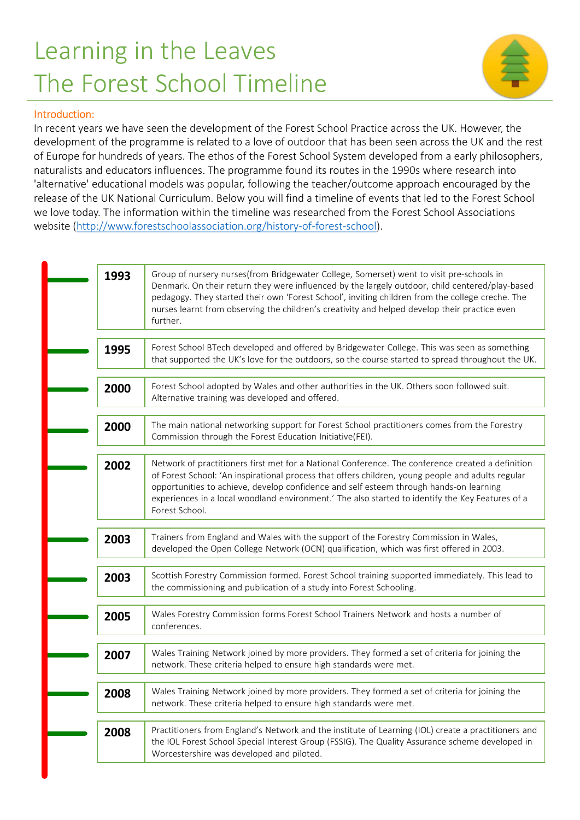## Learning in the Leaves The Forest School Timeline



## Introduction:

In recent years we have seen the development of the Forest School Practice across the UK. However, the development of the programme is related to a love of outdoor that has been seen across the UK and the rest of Europe for hundreds of years. The ethos of the Forest School System developed from a early philosophers, naturalists and educators influences. The programme found its routes in the 1990s where research into 'alternative' educational models was popular, following the teacher/outcome approach encouraged by the release of the UK National Curriculum. Below you will find a timeline of events that led to the Forest School we love today. The information within the timeline was researched from the Forest School Associations website (http://www.forestschoolassociation.org/history-of-forest-school). 1993 Transferred College and the Forest School Practice across the UK. However, the the programme is related to a love of outdoor that has been seen across the UK and the rest school Syes as The ethos of the Forest School

|      | aturalists and educators influences. The programme found its routes in the 1990s where research into<br>Iternative' educational models was popular, following the teacher/outcome approach encouraged by the<br>lease of the UK National Curriculum. Below you will find a timeline of events that led to the Forest School<br>e love today. The information within the timeline was researched from the Forest School Associations |
|------|-------------------------------------------------------------------------------------------------------------------------------------------------------------------------------------------------------------------------------------------------------------------------------------------------------------------------------------------------------------------------------------------------------------------------------------|
|      | ebsite (http://www.forestschoolassociation.org/history-of-forest-school).                                                                                                                                                                                                                                                                                                                                                           |
| 1993 | Group of nursery nurses(from Bridgewater College, Somerset) went to visit pre-schools in<br>Denmark. On their return they were influenced by the largely outdoor, child centered/play-based<br>pedagogy. They started their own 'Forest School', inviting children from the college creche. The<br>nurses learnt from observing the children's creativity and helped develop their practice even<br>further.                        |
| 1995 | Forest School BTech developed and offered by Bridgewater College. This was seen as something<br>that supported the UK's love for the outdoors, so the course started to spread throughout the UK.                                                                                                                                                                                                                                   |
| 2000 | Forest School adopted by Wales and other authorities in the UK. Others soon followed suit.<br>Alternative training was developed and offered.                                                                                                                                                                                                                                                                                       |
| 2000 | The main national networking support for Forest School practitioners comes from the Forestry<br>Commission through the Forest Education Initiative(FEI).                                                                                                                                                                                                                                                                            |
| 2002 | Network of practitioners first met for a National Conference. The conference created a definition<br>of Forest School: 'An inspirational process that offers children, young people and adults regular<br>opportunities to achieve, develop confidence and self esteem through hands-on learning<br>experiences in a local woodland environment.' The also started to identify the Key Features of a<br>Forest School.              |
| 2003 | Trainers from England and Wales with the support of the Forestry Commission in Wales,<br>developed the Open College Network (OCN) qualification, which was first offered in 2003.                                                                                                                                                                                                                                                   |
| 2003 | Scottish Forestry Commission formed. Forest School training supported immediately. This lead to<br>the commissioning and publication of a study into Forest Schooling.                                                                                                                                                                                                                                                              |
| 2005 | Wales Forestry Commission forms Forest School Trainers Network and hosts a number of<br>conferences.                                                                                                                                                                                                                                                                                                                                |
| 2007 | Wales Training Network joined by more providers. They formed a set of criteria for joining the<br>network. These criteria helped to ensure high standards were met.                                                                                                                                                                                                                                                                 |
| 2008 | Wales Training Network joined by more providers. They formed a set of criteria for joining the<br>network. These criteria helped to ensure high standards were met.                                                                                                                                                                                                                                                                 |
| 2008 | Practitioners from England's Network and the institute of Learning (IOL) create a practitioners and<br>the IOL Forest School Special Interest Group (FSSIG). The Quality Assurance scheme developed in<br>Worcestershire was developed and piloted.                                                                                                                                                                                 |